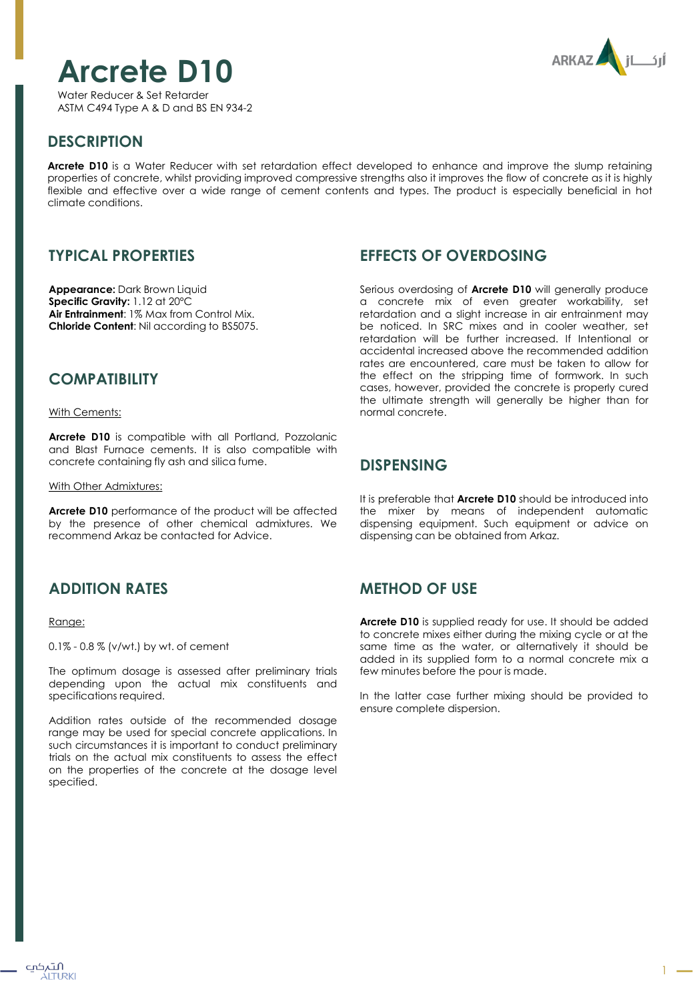# **Arcrete D10**

**ARKAZ** 

Water Reducer & Set Retarder ASTM C494 Type A & D and BS EN 934-2

# **DESCRIPTION**

**Arcrete D10** is a Water Reducer with set retardation effect developed to enhance and improve the slump retaining properties of concrete, whilst providing improved compressive strengths also it improves the flow of concrete as it is highly flexible and effective over a wide range of cement contents and types. The product is especially beneficial in hot climate conditions.

# **TYPICAL PROPERTIES**

**Appearance:** Dark Brown Liquid **Specific Gravity:** 1.12 at 20ºC **Air Entrainment**: 1% Max from Control Mix. **Chloride Content**: Nil according to BS5075.

## **COMPATIBILITY**

With Cements:

**Arcrete D10** is compatible with all Portland, Pozzolanic and Blast Furnace cements. It is also compatible with concrete containing fly ash and silica fume.

#### With Other Admixtures:

**Arcrete D10** performance of the product will be affected by the presence of other chemical admixtures. We recommend Arkaz be contacted for Advice.

# **ADDITION RATES**

#### Range:

0.1% - 0.8 % (v/wt.) by wt. of cement

The optimum dosage is assessed after preliminary trials depending upon the actual mix constituents and specifications required.

Addition rates outside of the recommended dosage range may be used for special concrete applications. In such circumstances it is important to conduct preliminary trials on the actual mix constituents to assess the effect on the properties of the concrete at the dosage level specified.

## **EFFECTS OF OVERDOSING**

Serious overdosing of **Arcrete D10** will generally produce a concrete mix of even greater workability, set retardation and a slight increase in air entrainment may be noticed. In SRC mixes and in cooler weather, set retardation will be further increased. If Intentional or accidental increased above the recommended addition rates are encountered, care must be taken to allow for the effect on the stripping time of formwork. In such cases, however, provided the concrete is properly cured the ultimate strength will generally be higher than for normal concrete.

#### **DISPENSING**

It is preferable that **Arcrete D10** should be introduced into the mixer by means of independent automatic dispensing equipment. Such equipment or advice on dispensing can be obtained from Arkaz.

## **METHOD OF USE**

**Arcrete D10** is supplied ready for use. It should be added to concrete mixes either during the mixing cycle or at the same time as the water, or alternatively it should be added in its supplied form to a normal concrete mix a few minutes before the pour is made.

In the latter case further mixing should be provided to ensure complete dispersion.